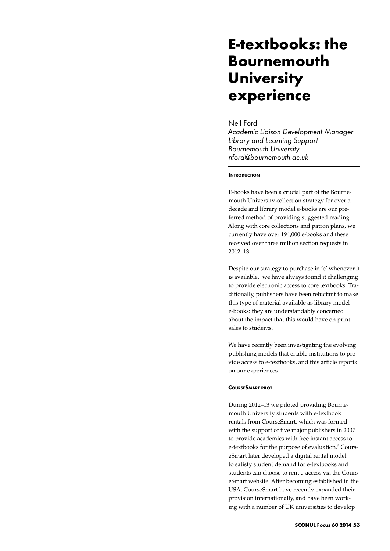# **E-textbooks: the Bournemouth University experience**

# Neil Ford

*Academic Liaison Development Manager Library and Learning Support Bournemouth University nford@bournemouth.ac.uk*

# **INTRODUCTION**

E-books have been a crucial part of the Bournemouth University collection strategy for over a decade and library model e-books are our preferred method of providing suggested reading. Along with core collections and patron plans, we currently have over 194,000 e-books and these received over three million section requests in 2012–13.

Despite our strategy to purchase in 'e' whenever it is available,<sup>1</sup> we have always found it challenging to provide electronic access to core textbooks. Traditionally, publishers have been reluctant to make this type of material available as library model e-books: they are understandably concerned about the impact that this would have on print sales to students.

We have recently been investigating the evolving publishing models that enable institutions to provide access to e-textbooks, and this article reports on our experiences.

#### **CourseSmart pilot**

During 2012–13 we piloted providing Bournemouth University students with e-textbook rentals from CourseSmart, which was formed with the support of five major publishers in 2007 to provide academics with free instant access to e-textbooks for the purpose of evaluation.<sup>2</sup> CourseSmart later developed a digital rental model to satisfy student demand for e-textbooks and students can choose to rent e-access via the CourseSmart website. After becoming established in the USA, CourseSmart have recently expanded their provision internationally, and have been working with a number of UK universities to develop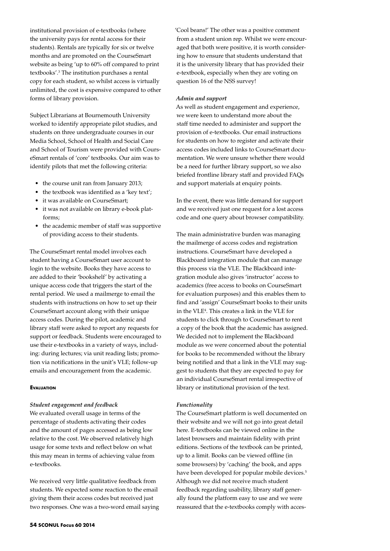institutional provision of e-textbooks (where the university pays for rental access for their students). Rentals are typically for six or twelve months and are promoted on the CourseSmart website as being 'up to 60% off compared to print textbooks'.3 The institution purchases a rental copy for each student, so whilst access is virtually unlimited, the cost is expensive compared to other forms of library provision.

Subject Librarians at Bournemouth University worked to identify appropriate pilot studies, and students on three undergraduate courses in our Media School, School of Health and Social Care and School of Tourism were provided with CourseSmart rentals of 'core' textbooks. Our aim was to identify pilots that met the following criteria:

- the course unit ran from January 2013;
- the textbook was identified as a 'key text';
- it was available on CourseSmart;
- it was not available on library e-book platforms;
- the academic member of staff was supportive of providing access to their students.

The CourseSmart rental model involves each student having a CourseSmart user account to login to the website. Books they have access to are added to their 'bookshelf' by activating a unique access code that triggers the start of the rental period. We used a mailmerge to email the students with instructions on how to set up their CourseSmart account along with their unique access codes. During the pilot, academic and library staff were asked to report any requests for support or feedback. Students were encouraged to use their e-textbooks in a variety of ways, including: during lectures; via unit reading lists; promotion via notifications in the unit's VLE; follow-up emails and encouragement from the academic.

#### **E**VALUATION

#### *Student engagement and feedback*

We evaluated overall usage in terms of the percentage of students activating their codes and the amount of pages accessed as being low relative to the cost. We observed relatively high usage for some texts and reflect below on what this may mean in terms of achieving value from e-textbooks.

We received very little qualitative feedback from students. We expected some reaction to the email giving them their access codes but received just two responses. One was a two-word email saying 'Cool beans!' The other was a positive comment from a student union rep. Whilst we were encouraged that both were positive, it is worth considering how to ensure that students understand that it is the university library that has provided their e-textbook, especially when they are voting on question 16 of the NSS survey!

#### *Admin and support*

As well as student engagement and experience, we were keen to understand more about the staff time needed to administer and support the provision of e-textbooks. Our email instructions for students on how to register and activate their access codes included links to CourseSmart documentation. We were unsure whether there would be a need for further library support, so we also briefed frontline library staff and provided FAQs and support materials at enquiry points.

In the event, there was little demand for support and we received just one request for a lost access code and one query about browser compatibility.

The main administrative burden was managing the mailmerge of access codes and registration instructions. CourseSmart have developed a Blackboard integration module that can manage this process via the VLE. The Blackboard integration module also gives 'instructor' access to academics (free access to books on CourseSmart for evaluation purposes) and this enables them to find and 'assign' CourseSmart books to their units in the VLE4 . This creates a link in the VLE for students to click through to CourseSmart to rent a copy of the book that the academic has assigned. We decided not to implement the Blackboard module as we were concerned about the potential for books to be recommended without the library being notified and that a link in the VLE may suggest to students that they are expected to pay for an individual CourseSmart rental irrespective of library or institutional provision of the text.

## *Functionality*

The CourseSmart platform is well documented on their website and we will not go into great detail here. E-textbooks can be viewed online in the latest browsers and maintain fidelity with print editions. Sections of the textbook can be printed, up to a limit. Books can be viewed offline (in some browsers) by 'caching' the book, and apps have been developed for popular mobile devices.<sup>5</sup> Although we did not receive much student feedback regarding usability, library staff generally found the platform easy to use and we were reassured that the e-textbooks comply with acces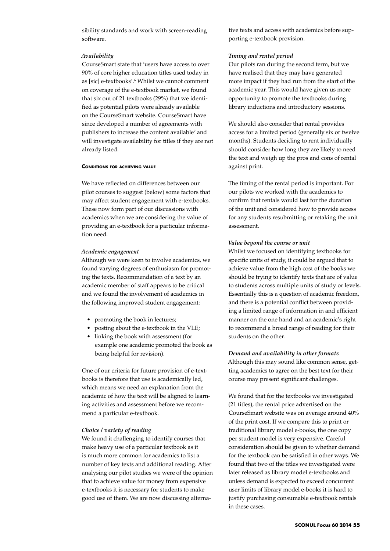sibility standards and work with screen-reading software.

## *Availability*

CourseSmart state that 'users have access to over 90% of core higher education titles used today in as [sic] e-textbooks'.6 Whilst we cannot comment on coverage of the e-textbook market, we found that six out of 21 textbooks (29%) that we identified as potential pilots were already available on the CourseSmart website. CourseSmart have since developed a number of agreements with publishers to increase the content available<sup>7</sup> and will investigate availability for titles if they are not already listed.

#### **Conditions for achieving value**

We have reflected on differences between our pilot courses to suggest (below) some factors that may affect student engagement with e-textbooks. These now form part of our discussions with academics when we are considering the value of providing an e-textbook for a particular information need.

#### *Academic engagement*

Although we were keen to involve academics, we found varying degrees of enthusiasm for promoting the texts. Recommendation of a text by an academic member of staff appears to be critical and we found the involvement of academics in the following improved student engagement:

- promoting the book in lectures:
- posting about the e-textbook in the VLE;
- • linking the book with assessment (for example one academic promoted the book as being helpful for revision).

One of our criteria for future provision of e-textbooks is therefore that use is academically led, which means we need an explanation from the academic of how the text will be aligned to learning activities and assessment before we recommend a particular e-textbook.

## *Choice / variety of reading*

We found it challenging to identify courses that make heavy use of a particular textbook as it is much more common for academics to list a number of key texts and additional reading. After analysing our pilot studies we were of the opinion that to achieve value for money from expensive e-textbooks it is necessary for students to make good use of them. We are now discussing alternative texts and access with academics before supporting e-textbook provision.

## *Timing and rental period*

Our pilots ran during the second term, but we have realised that they may have generated more impact if they had run from the start of the academic year. This would have given us more opportunity to promote the textbooks during library inductions and introductory sessions.

We should also consider that rental provides access for a limited period (generally six or twelve months). Students deciding to rent individually should consider how long they are likely to need the text and weigh up the pros and cons of rental against print.

The timing of the rental period is important. For our pilots we worked with the academics to confirm that rentals would last for the duration of the unit and considered how to provide access for any students resubmitting or retaking the unit assessment.

## *Value beyond the course or unit*

Whilst we focused on identifying textbooks for specific units of study, it could be argued that to achieve value from the high cost of the books we should be trying to identify texts that are of value to students across multiple units of study or levels. Essentially this is a question of academic freedom, and there is a potential conflict between providing a limited range of information in and efficient manner on the one hand and an academic's right to recommend a broad range of reading for their students on the other.

## *Demand and availability in other formats*

Although this may sound like common sense, getting academics to agree on the best text for their course may present significant challenges.

We found that for the textbooks we investigated (21 titles), the rental price advertised on the CourseSmart website was on average around 40% of the print cost. If we compare this to print or traditional library model e-books, the one copy per student model is very expensive. Careful consideration should be given to whether demand for the textbook can be satisfied in other ways. We found that two of the titles we investigated were later released as library model e-textbooks and unless demand is expected to exceed concurrent user limits of library model e-books it is hard to justify purchasing consumable e-textbook rentals in these cases.